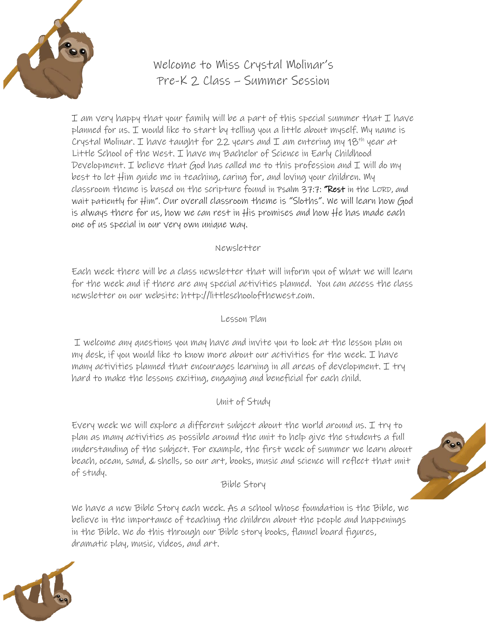

# Welcome to Miss Crystal Molinar's Pre-K 2 Class – Summer Session

I am very happy that your family will be a part of this special summer that I have planned for us. I would like to start by telling you a little about myself. My name is Crystal Molinar. I have taught for 22 years and I am entering my  $18^{th}$  year at Little School of the West. I have my Bachelor of Science in Early Childhood Development. I believe that God has called me to this profession and I will do my best to let Him guide me in teaching, caring for, and loving your children. My classroom theme is based on the scripture found in [Psalm 37:7:](https://www.biblegateway.com/passage/?search=Psalm%2037%3A7&version=NKJV) "Rest in the LORD, and wait patiently for Him". Our overall classroom theme is "Sloths". We will learn how God is always there for us, how we can rest in His promises and how He has made each one of us special in our very own unique way.

#### Newsletter

Each week there will be a class newsletter that will inform you of what we will learn for the week and if there are any special activities planned. You can access the class newsletter on our website: http://littleschoolofthewest.com.

#### Lesson Plan

I welcome any questions you may have and invite you to look at the lesson plan on my desk, if you would like to know more about our activities for the week. I have many activities planned that encourages learning in all areas of development. I try hard to make the lessons exciting, engaging and beneficial for each child.

#### Unit of Study

Every week we will explore a different subject about the world around us. I try to plan as many activities as possible around the unit to help give the students a full understanding of the subject. For example, the first week of summer we learn about beach, ocean, sand, & shells, so our art, books, music and science will reflect that unit of study.

Bible Story

We have a new Bible Story each week. As a school whose foundation is the Bible, we believe in the importance of teaching the children about the people and happenings in the Bible. We do this through our Bible story books, flannel board figures, dramatic play, music, videos, and art.